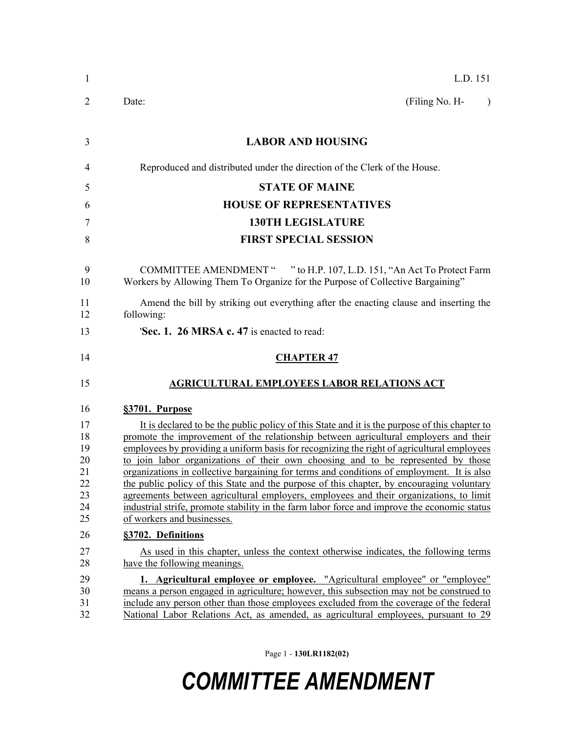| 1                                                  | L.D. 151                                                                                                                                                                                                                                                                                                                                                                                                                                                                                                                                                                                                                                                                                                                                                                                  |
|----------------------------------------------------|-------------------------------------------------------------------------------------------------------------------------------------------------------------------------------------------------------------------------------------------------------------------------------------------------------------------------------------------------------------------------------------------------------------------------------------------------------------------------------------------------------------------------------------------------------------------------------------------------------------------------------------------------------------------------------------------------------------------------------------------------------------------------------------------|
| 2                                                  | (Filing No. H-<br>Date:<br>$\lambda$                                                                                                                                                                                                                                                                                                                                                                                                                                                                                                                                                                                                                                                                                                                                                      |
| 3                                                  | <b>LABOR AND HOUSING</b>                                                                                                                                                                                                                                                                                                                                                                                                                                                                                                                                                                                                                                                                                                                                                                  |
| 4                                                  | Reproduced and distributed under the direction of the Clerk of the House.                                                                                                                                                                                                                                                                                                                                                                                                                                                                                                                                                                                                                                                                                                                 |
| 5                                                  | <b>STATE OF MAINE</b>                                                                                                                                                                                                                                                                                                                                                                                                                                                                                                                                                                                                                                                                                                                                                                     |
| 6                                                  | <b>HOUSE OF REPRESENTATIVES</b>                                                                                                                                                                                                                                                                                                                                                                                                                                                                                                                                                                                                                                                                                                                                                           |
| 7                                                  | <b>130TH LEGISLATURE</b>                                                                                                                                                                                                                                                                                                                                                                                                                                                                                                                                                                                                                                                                                                                                                                  |
| 8                                                  | <b>FIRST SPECIAL SESSION</b>                                                                                                                                                                                                                                                                                                                                                                                                                                                                                                                                                                                                                                                                                                                                                              |
| 9<br>10                                            | COMMITTEE AMENDMENT " "to H.P. 107, L.D. 151, "An Act To Protect Farm<br>Workers by Allowing Them To Organize for the Purpose of Collective Bargaining"                                                                                                                                                                                                                                                                                                                                                                                                                                                                                                                                                                                                                                   |
| 11<br>12                                           | Amend the bill by striking out everything after the enacting clause and inserting the<br>following:                                                                                                                                                                                                                                                                                                                                                                                                                                                                                                                                                                                                                                                                                       |
| 13                                                 | 'Sec. 1. 26 MRSA c. 47 is enacted to read:                                                                                                                                                                                                                                                                                                                                                                                                                                                                                                                                                                                                                                                                                                                                                |
| 14                                                 | <b>CHAPTER 47</b>                                                                                                                                                                                                                                                                                                                                                                                                                                                                                                                                                                                                                                                                                                                                                                         |
| 15                                                 | <b>AGRICULTURAL EMPLOYEES LABOR RELATIONS ACT</b>                                                                                                                                                                                                                                                                                                                                                                                                                                                                                                                                                                                                                                                                                                                                         |
| 16                                                 | §3701. Purpose                                                                                                                                                                                                                                                                                                                                                                                                                                                                                                                                                                                                                                                                                                                                                                            |
| 17<br>18<br>19<br>20<br>21<br>22<br>23<br>24<br>25 | It is declared to be the public policy of this State and it is the purpose of this chapter to<br>promote the improvement of the relationship between agricultural employers and their<br>employees by providing a uniform basis for recognizing the right of agricultural employees<br>to join labor organizations of their own choosing and to be represented by those<br>organizations in collective bargaining for terms and conditions of employment. It is also<br>the public policy of this State and the purpose of this chapter, by encouraging voluntary<br>agreements between agricultural employers, employees and their organizations, to limit<br>industrial strife, promote stability in the farm labor force and improve the economic status<br>of workers and businesses. |
| 26                                                 | §3702. Definitions                                                                                                                                                                                                                                                                                                                                                                                                                                                                                                                                                                                                                                                                                                                                                                        |
| 27<br>28                                           | As used in this chapter, unless the context otherwise indicates, the following terms<br>have the following meanings.                                                                                                                                                                                                                                                                                                                                                                                                                                                                                                                                                                                                                                                                      |
| 29<br>30<br>31<br>32                               | 1. Agricultural employee or employee. "Agricultural employee" or "employee"<br>means a person engaged in agriculture; however, this subsection may not be construed to<br>include any person other than those employees excluded from the coverage of the federal<br>National Labor Relations Act, as amended, as agricultural employees, pursuant to 29                                                                                                                                                                                                                                                                                                                                                                                                                                  |

Page 1 - **130LR1182(02)**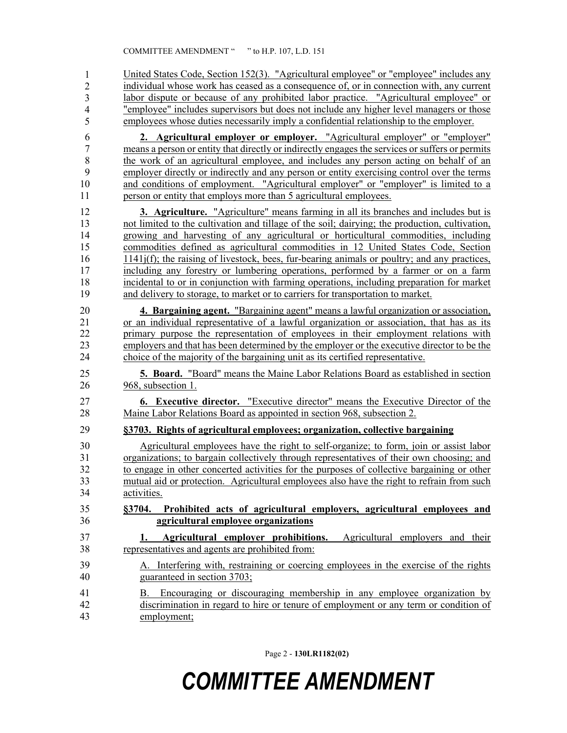United States Code, Section 152(3). "Agricultural employee" or "employee" includes any individual whose work has ceased as a consequence of, or in connection with, any current labor dispute or because of any prohibited labor practice. "Agricultural employee" or "employee" includes supervisors but does not include any higher level managers or those 37 employees whose duties necessarily imply a confidential relationship to the employer. 6 **2. Agricultural employer or employer.** "Agricultural employer" or "employer" 7 means a person or entity that directly or indirectly engages the services or suffers or permits 8 the work of an agricultural employee, and includes any person acting on behalf of an 9 employer directly or indirectly and any person or entity exercising control over the terms 10 and conditions of employment. "Agricultural employer" or "employer" is limited to a 11 person or entity that employs more than 5 agricultural employees. 12 **3. Agriculture.** "Agriculture" means farming in all its branches and includes but is 13 not limited to the cultivation and tillage of the soil; dairying; the production, cultivation, 14 growing and harvesting of any agricultural or horticultural commodities, including 15 commodities defined as agricultural commodities in 12 United States Code, Section 16 1141j(f); the raising of livestock, bees, fur-bearing animals or poultry; and any practices, 17 including any forestry or lumbering operations, performed by a farmer or on a farm 18 incidental to or in conjunction with farming operations, including preparation for market 19 and delivery to storage, to market or to carriers for transportation to market. 20 **4. Bargaining agent.** "Bargaining agent" means a lawful organization or association, 21 or an individual representative of a lawful organization or association, that has as its 22 primary purpose the representation of employees in their employment relations with 23 employers and that has been determined by the employer or the executive director to be the 24 choice of the majority of the bargaining unit as its certified representative. 25 **5. Board.** "Board" means the Maine Labor Relations Board as established in section 26 968, subsection 1. 27 **6. Executive director.** "Executive director" means the Executive Director of the 28 Maine Labor Relations Board as appointed in section 968, subsection 2. 29 **§3703. Rights of agricultural employees; organization, collective bargaining** 30 Agricultural employees have the right to self-organize; to form, join or assist labor 31 organizations; to bargain collectively through representatives of their own choosing; and 32 to engage in other concerted activities for the purposes of collective bargaining or other 33 mutual aid or protection. Agricultural employees also have the right to refrain from such 34 activities. 35 **§3704. Prohibited acts of agricultural employers, agricultural employees and**  36 **agricultural employee organizations** 37 **1. Agricultural employer prohibitions.** Agricultural employers and their 38 representatives and agents are prohibited from: 39 A. Interfering with, restraining or coercing employees in the exercise of the rights 40 guaranteed in section 3703; 41 B. Encouraging or discouraging membership in any employee organization by 42 discrimination in regard to hire or tenure of employment or any term or condition of 43 employment; 1 2 3 4 5

Page 2 - **130LR1182(02)**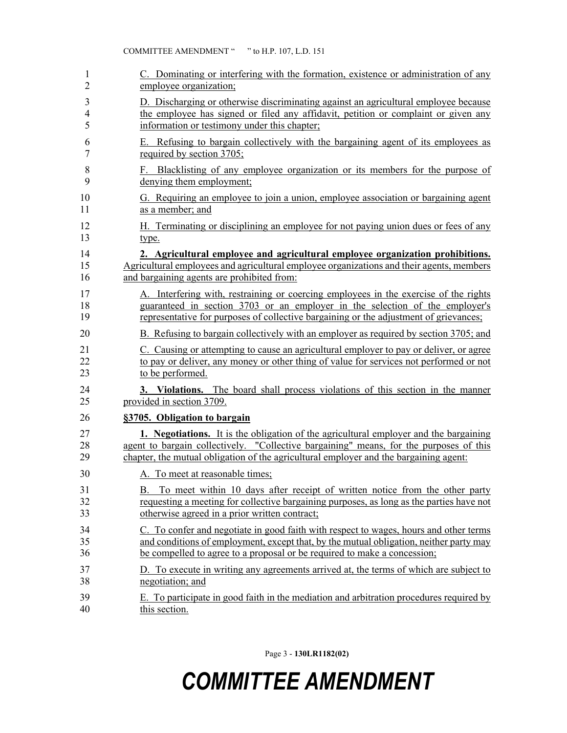| 1              | C. Dominating or interfering with the formation, existence or administration of any          |
|----------------|----------------------------------------------------------------------------------------------|
| 2              | employee organization;                                                                       |
| 3              | D. Discharging or otherwise discriminating against an agricultural employee because          |
| $\overline{4}$ | the employee has signed or filed any affidavit, petition or complaint or given any           |
| 5              | information or testimony under this chapter;                                                 |
| 6              | E. Refusing to bargain collectively with the bargaining agent of its employees as            |
| 7              | required by section 3705;                                                                    |
| 8              | F. Blacklisting of any employee organization or its members for the purpose of               |
| 9              | denying them employment;                                                                     |
| 10             | G. Requiring an employee to join a union, employee association or bargaining agent           |
| 11             | as a member; and                                                                             |
| 12             | H. Terminating or disciplining an employee for not paying union dues or fees of any          |
| 13             | type.                                                                                        |
| 14             | 2. Agricultural employee and agricultural employee organization prohibitions.                |
| 15             | Agricultural employees and agricultural employee organizations and their agents, members     |
| 16             | and bargaining agents are prohibited from:                                                   |
| 17             | A. Interfering with, restraining or coercing employees in the exercise of the rights         |
| 18             | guaranteed in section 3703 or an employer in the selection of the employer's                 |
| 19             | representative for purposes of collective bargaining or the adjustment of grievances;        |
| 20             | B. Refusing to bargain collectively with an employer as required by section 3705; and        |
| 21             | C. Causing or attempting to cause an agricultural employer to pay or deliver, or agree       |
| 22             | to pay or deliver, any money or other thing of value for services not performed or not       |
| 23             | to be performed.                                                                             |
| 24             | 3. Violations. The board shall process violations of this section in the manner              |
| 25             | provided in section 3709.                                                                    |
| 26             | §3705. Obligation to bargain                                                                 |
| 27             | <b>1.</b> Negotiations. It is the obligation of the agricultural employer and the bargaining |
| 28             | agent to bargain collectively. "Collective bargaining" means, for the purposes of this       |
| 29             | chapter, the mutual obligation of the agricultural employer and the bargaining agent:        |
| 30             | A. To meet at reasonable times;                                                              |
| 31             | B. To meet within 10 days after receipt of written notice from the other party               |
| 32             | requesting a meeting for collective bargaining purposes, as long as the parties have not     |
| 33             | otherwise agreed in a prior written contract;                                                |
| 34             | C. To confer and negotiate in good faith with respect to wages, hours and other terms        |
| 35             | and conditions of employment, except that, by the mutual obligation, neither party may       |
| 36             | be compelled to agree to a proposal or be required to make a concession;                     |
| 37             | D. To execute in writing any agreements arrived at, the terms of which are subject to        |
| 38             | negotiation; and                                                                             |
| 39             | E. To participate in good faith in the mediation and arbitration procedures required by      |
| 40             | this section.                                                                                |

Page 3 - **130LR1182(02)**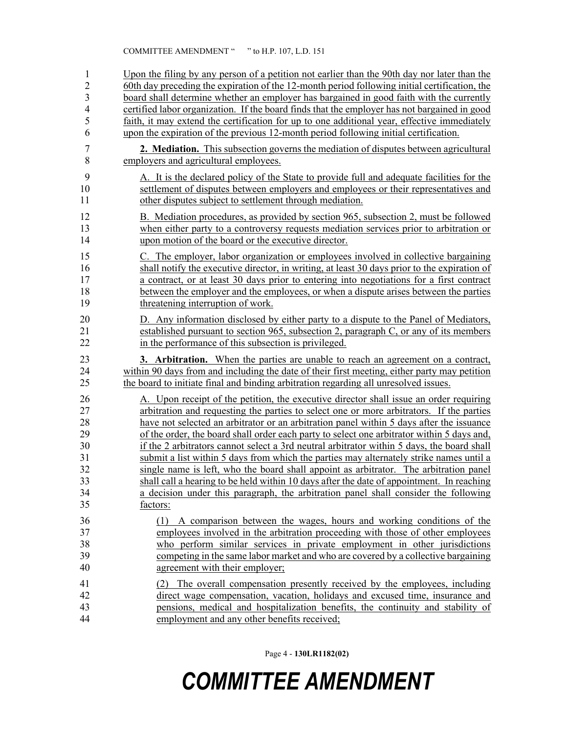1 Upon the filing by any person of a petition not earlier than the 90th day nor later than the 2 60th day preceding the expiration of the 12-month period following initial certification, the board shall determine whether an employer has bargained in good faith with the currently 3 board shall determine whether an employer has bargained in good faith with the currently 4 certified labor organization. If the board finds that the employer has not bargained in good 5 faith, it may extend the certification for up to one additional year, effective immediately 6 upon the expiration of the previous 12-month period following initial certification. 7 **2. Mediation.** This subsection governs the mediation of disputes between agricultural 8 employers and agricultural employees. 9 A. It is the declared policy of the State to provide full and adequate facilities for the 10 settlement of disputes between employers and employees or their representatives and 11 other disputes subject to settlement through mediation. 12 B. Mediation procedures, as provided by section 965, subsection 2, must be followed 13 when either party to a controversy requests mediation services prior to arbitration or 14 upon motion of the board or the executive director. 15 C. The employer, labor organization or employees involved in collective bargaining 16 shall notify the executive director, in writing, at least 30 days prior to the expiration of 17 a contract, or at least 30 days prior to entering into negotiations for a first contract 18 between the employer and the employees, or when a dispute arises between the parties 19 threatening interruption of work. 20 D. Any information disclosed by either party to a dispute to the Panel of Mediators, 21 established pursuant to section 965, subsection 2, paragraph C, or any of its members 22 in the performance of this subsection is privileged. 23 **3. Arbitration.** When the parties are unable to reach an agreement on a contract, 24 within 90 days from and including the date of their first meeting, either party may petition 25 the board to initiate final and binding arbitration regarding all unresolved issues. 26 A. Upon receipt of the petition, the executive director shall issue an order requiring 27 arbitration and requesting the parties to select one or more arbitrators. If the parties 28 have not selected an arbitrator or an arbitration panel within 5 days after the issuance 29 of the order, the board shall order each party to select one arbitrator within 5 days and, 30 if the 2 arbitrators cannot select a 3rd neutral arbitrator within 5 days, the board shall 31 submit a list within 5 days from which the parties may alternately strike names until a 32 single name is left, who the board shall appoint as arbitrator. The arbitration panel 33 shall call a hearing to be held within 10 days after the date of appointment. In reaching 34 a decision under this paragraph, the arbitration panel shall consider the following 35 factors: 36 (1) A comparison between the wages, hours and working conditions of the 37 employees involved in the arbitration proceeding with those of other employees 38 who perform similar services in private employment in other jurisdictions 39 competing in the same labor market and who are covered by a collective bargaining 40 agreement with their employer; 41 (2) The overall compensation presently received by the employees, including 42 direct wage compensation, vacation, holidays and excused time, insurance and 43 pensions, medical and hospitalization benefits, the continuity and stability of 44 employment and any other benefits received;

Page 4 - **130LR1182(02)**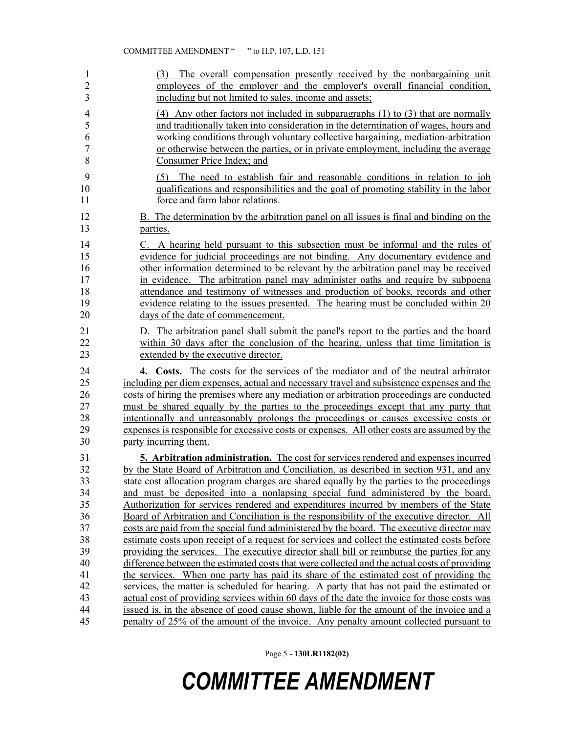| 1              | (3) The overall compensation presently received by the nonbargaining unit                    |
|----------------|----------------------------------------------------------------------------------------------|
| $\overline{2}$ | employees of the employer and the employer's overall financial condition,                    |
| 3              | including but not limited to sales, income and assets;                                       |
| $\overline{4}$ | $(4)$ Any other factors not included in subparagraphs $(1)$ to $(3)$ that are normally       |
| 5              | and traditionally taken into consideration in the determination of wages, hours and          |
| 6              | working conditions through voluntary collective bargaining, mediation-arbitration            |
| $\overline{7}$ | or otherwise between the parties, or in private employment, including the average            |
| 8              | Consumer Price Index; and                                                                    |
| 9              | (5) The need to establish fair and reasonable conditions in relation to job                  |
| 10             | qualifications and responsibilities and the goal of promoting stability in the labor         |
| 11             | force and farm labor relations.                                                              |
| 12             | B. The determination by the arbitration panel on all issues is final and binding on the      |
| 13             | parties.                                                                                     |
| 14             | C. A hearing held pursuant to this subsection must be informal and the rules of              |
| 15             | evidence for judicial proceedings are not binding. Any documentary evidence and              |
| 16             | other information determined to be relevant by the arbitration panel may be received         |
| 17             | in evidence. The arbitration panel may administer oaths and require by subpoenary            |
| 18             | attendance and testimony of witnesses and production of books, records and other             |
| 19             | evidence relating to the issues presented. The hearing must be concluded within 20           |
| 20             | days of the date of commencement.                                                            |
| 21             | D. The arbitration panel shall submit the panel's report to the parties and the board        |
| 22             | within 30 days after the conclusion of the hearing, unless that time limitation is           |
| 23             | extended by the executive director.                                                          |
| 24             | 4. Costs. The costs for the services of the mediator and of the neutral arbitrator           |
| 25             | including per diem expenses, actual and necessary travel and subsistence expenses and the    |
| 26             | costs of hiring the premises where any mediation or arbitration proceedings are conducted    |
| 27             | must be shared equally by the parties to the proceedings except that any party that          |
| 28             | intentionally and unreasonably prolongs the proceedings or causes excessive costs or         |
| 29             | expenses is responsible for excessive costs or expenses. All other costs are assumed by the  |
| 30             | party incurring them.                                                                        |
| 31             | 5. Arbitration administration. The cost for services rendered and expenses incurred          |
| 32             | by the State Board of Arbitration and Conciliation, as described in section 931, and any     |
| 33             | state cost allocation program charges are shared equally by the parties to the proceedings   |
| 34             | and must be deposited into a nonlapsing special fund administered by the board.              |
| 35             | Authorization for services rendered and expenditures incurred by members of the State        |
| 36             | Board of Arbitration and Conciliation is the responsibility of the executive director. All   |
| 37             | costs are paid from the special fund administered by the board. The executive director may   |
| 38             | estimate costs upon receipt of a request for services and collect the estimated costs before |
| 39             | providing the services. The executive director shall bill or reimburse the parties for any   |
| 40             | difference between the estimated costs that were collected and the actual costs of providing |
| 41             | the services. When one party has paid its share of the estimated cost of providing the       |
| 42             | services, the matter is scheduled for hearing. A party that has not paid the estimated or    |
| 43             | actual cost of providing services within 60 days of the date the invoice for those costs was |
| 44             | issued is, in the absence of good cause shown, liable for the amount of the invoice and a    |
| 45             | penalty of 25% of the amount of the invoice. Any penalty amount collected pursuant to        |

Page 5 - **130LR1182(02)**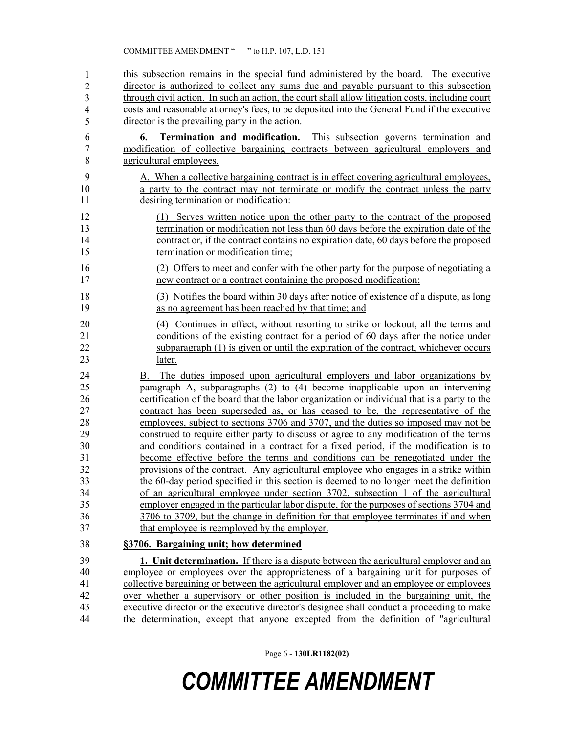46 this subsection remains in the special fund administered by the board. The executive director is authorized to collect any sums due and payable pursuant to this subsection 48 through civil action. In such an action, the court shall allow litigation costs, including court 49 costs and reasonable attorney's fees, to be deposited into the General Fund if the executive director is the prevailing party in the action. 1 2 3 4 5

- 6 **6. Termination and modification.** This subsection governs termination and 7 modification of collective bargaining contracts between agricultural employers and 8 agricultural employees.
- 9 A. When a collective bargaining contract is in effect covering agricultural employees, 10 a party to the contract may not terminate or modify the contract unless the party 11 desiring termination or modification:
- 12 (1) Serves written notice upon the other party to the contract of the proposed 13 termination or modification not less than 60 days before the expiration date of the 14 contract or, if the contract contains no expiration date, 60 days before the proposed 15 termination or modification time;
- 16 (2) Offers to meet and confer with the other party for the purpose of negotiating a 17 new contract or a contract containing the proposed modification;
- 18 (3) Notifies the board within 30 days after notice of existence of a dispute, as long 19 as no agreement has been reached by that time; and
- 20 (4) Continues in effect, without resorting to strike or lockout, all the terms and 21 conditions of the existing contract for a period of 60 days after the notice under 22 subparagraph (1) is given or until the expiration of the contract, whichever occurs 23 later.
- 24 B. The duties imposed upon agricultural employers and labor organizations by 25 paragraph A, subparagraphs (2) to (4) become inapplicable upon an intervening 26 certification of the board that the labor organization or individual that is a party to the 27 contract has been superseded as, or has ceased to be, the representative of the 28 employees, subject to sections 3706 and 3707, and the duties so imposed may not be 29 construed to require either party to discuss or agree to any modification of the terms 30 and conditions contained in a contract for a fixed period, if the modification is to 31 become effective before the terms and conditions can be renegotiated under the 32 provisions of the contract. Any agricultural employee who engages in a strike within 33 the 60-day period specified in this section is deemed to no longer meet the definition 34 of an agricultural employee under section 3702, subsection 1 of the agricultural 35 employer engaged in the particular labor dispute, for the purposes of sections 3704 and 36 3706 to 3709, but the change in definition for that employee terminates if and when 37 that employee is reemployed by the employer.

#### 38 **§3706. Bargaining unit; how determined**

39 **1. Unit determination.** If there is a dispute between the agricultural employer and an 40 employee or employees over the appropriateness of a bargaining unit for purposes of 41 collective bargaining or between the agricultural employer and an employee or employees 42 over whether a supervisory or other position is included in the bargaining unit, the 43 executive director or the executive director's designee shall conduct a proceeding to make 44 the determination, except that anyone excepted from the definition of "agricultural

Page 6 - **130LR1182(02)**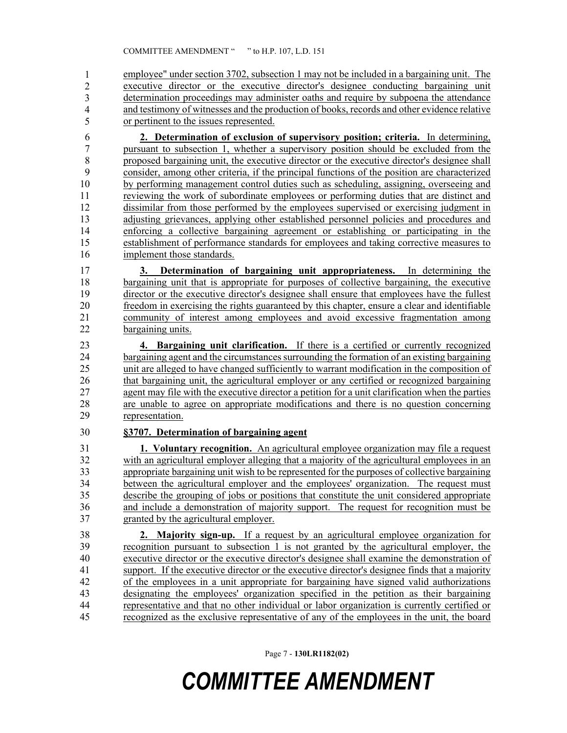employee" under section 3702, subsection 1 may not be included in a bargaining unit. The executive director or the executive director's designee conducting bargaining unit determination proceedings may administer oaths and require by subpoena the attendance and testimony of witnesses and the production of books, records and other evidence relative or pertinent to the issues represented. 1 2 3 4 5

6 **2. Determination of exclusion of supervisory position; criteria.** In determining, 7 pursuant to subsection 1, whether a supervisory position should be excluded from the 8 proposed bargaining unit, the executive director or the executive director's designee shall 9 consider, among other criteria, if the principal functions of the position are characterized 10 by performing management control duties such as scheduling, assigning, overseeing and 11 reviewing the work of subordinate employees or performing duties that are distinct and 12 dissimilar from those performed by the employees supervised or exercising judgment in 13 adjusting grievances, applying other established personnel policies and procedures and 14 enforcing a collective bargaining agreement or establishing or participating in the 15 establishment of performance standards for employees and taking corrective measures to 16 implement those standards.

17 **3. Determination of bargaining unit appropriateness.** In determining the 18 bargaining unit that is appropriate for purposes of collective bargaining, the executive 19 director or the executive director's designee shall ensure that employees have the fullest 20 freedom in exercising the rights guaranteed by this chapter, ensure a clear and identifiable 21 community of interest among employees and avoid excessive fragmentation among 22 bargaining units.

23 **4. Bargaining unit clarification.** If there is a certified or currently recognized 24 bargaining agent and the circumstances surrounding the formation of an existing bargaining 25 unit are alleged to have changed sufficiently to warrant modification in the composition of 26 that bargaining unit, the agricultural employer or any certified or recognized bargaining 27 agent may file with the executive director a petition for a unit clarification when the parties 28 are unable to agree on appropriate modifications and there is no question concerning 29 representation.

#### 30 **§3707. Determination of bargaining agent**

31 **1. Voluntary recognition.** An agricultural employee organization may file a request 32 with an agricultural employer alleging that a majority of the agricultural employees in an 33 appropriate bargaining unit wish to be represented for the purposes of collective bargaining 34 between the agricultural employer and the employees' organization. The request must 35 describe the grouping of jobs or positions that constitute the unit considered appropriate 36 and include a demonstration of majority support. The request for recognition must be 37 granted by the agricultural employer.

38 **2. Majority sign-up.** If a request by an agricultural employee organization for 39 recognition pursuant to subsection 1 is not granted by the agricultural employer, the 40 executive director or the executive director's designee shall examine the demonstration of 41 support. If the executive director or the executive director's designee finds that a majority 42 of the employees in a unit appropriate for bargaining have signed valid authorizations 43 designating the employees' organization specified in the petition as their bargaining 44 representative and that no other individual or labor organization is currently certified or 45 recognized as the exclusive representative of any of the employees in the unit, the board

Page 7 - **130LR1182(02)**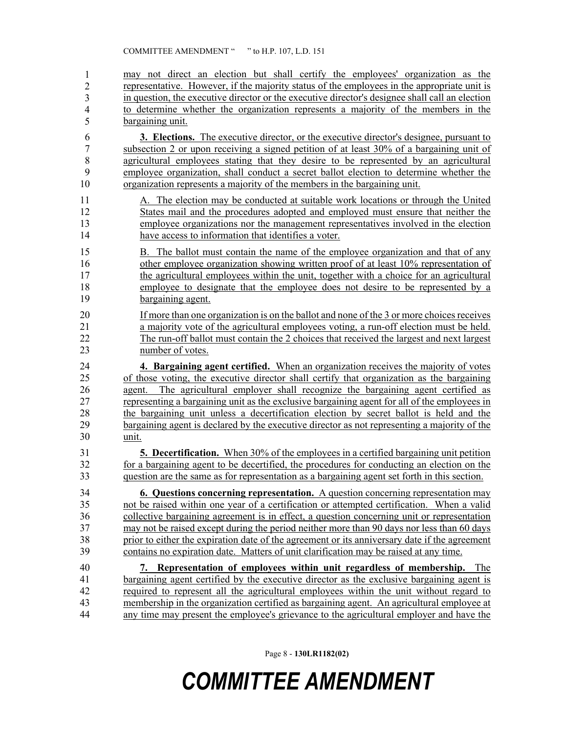may not direct an election but shall certify the employees' organization as the representative. However, if the majority status of the employees in the appropriate unit is 48 in question, the executive director or the executive director's designee shall call an election 49 to determine whether the organization represents a majority of the members in the bargaining unit. 6 **3. Elections.** The executive director, or the executive director's designee, pursuant to 1 2 3 4 5

7 subsection 2 or upon receiving a signed petition of at least 30% of a bargaining unit of 8 agricultural employees stating that they desire to be represented by an agricultural 9 employee organization, shall conduct a secret ballot election to determine whether the 10 organization represents a majority of the members in the bargaining unit.

- 11 A. The election may be conducted at suitable work locations or through the United 12 States mail and the procedures adopted and employed must ensure that neither the 13 employee organizations nor the management representatives involved in the election 14 have access to information that identifies a voter.
- 15 B. The ballot must contain the name of the employee organization and that of any 16 other employee organization showing written proof of at least 10% representation of 17 the agricultural employees within the unit, together with a choice for an agricultural 18 employee to designate that the employee does not desire to be represented by a 19 bargaining agent.
- 20 If more than one organization is on the ballot and none of the 3 or more choices receives 21 a majority vote of the agricultural employees voting, a run-off election must be held. 22 The run-off ballot must contain the 2 choices that received the largest and next largest 23 number of votes.
- 24 **4. Bargaining agent certified.** When an organization receives the majority of votes 25 of those voting, the executive director shall certify that organization as the bargaining 26 agent. The agricultural employer shall recognize the bargaining agent certified as 27 representing a bargaining unit as the exclusive bargaining agent for all of the employees in 28 the bargaining unit unless a decertification election by secret ballot is held and the 29 bargaining agent is declared by the executive director as not representing a majority of the 30 unit.
- 31 **5. Decertification.** When 30% of the employees in a certified bargaining unit petition 32 for a bargaining agent to be decertified, the procedures for conducting an election on the 33 question are the same as for representation as a bargaining agent set forth in this section.
- 34 **6. Questions concerning representation.** A question concerning representation may 35 not be raised within one year of a certification or attempted certification. When a valid 36 collective bargaining agreement is in effect, a question concerning unit or representation 37 may not be raised except during the period neither more than 90 days nor less than 60 days 38 prior to either the expiration date of the agreement or its anniversary date if the agreement 39 contains no expiration date. Matters of unit clarification may be raised at any time.
- 40 **7. Representation of employees within unit regardless of membership.** The 41 bargaining agent certified by the executive director as the exclusive bargaining agent is 42 required to represent all the agricultural employees within the unit without regard to 43 membership in the organization certified as bargaining agent. An agricultural employee at 44 any time may present the employee's grievance to the agricultural employer and have the

Page 8 - **130LR1182(02)**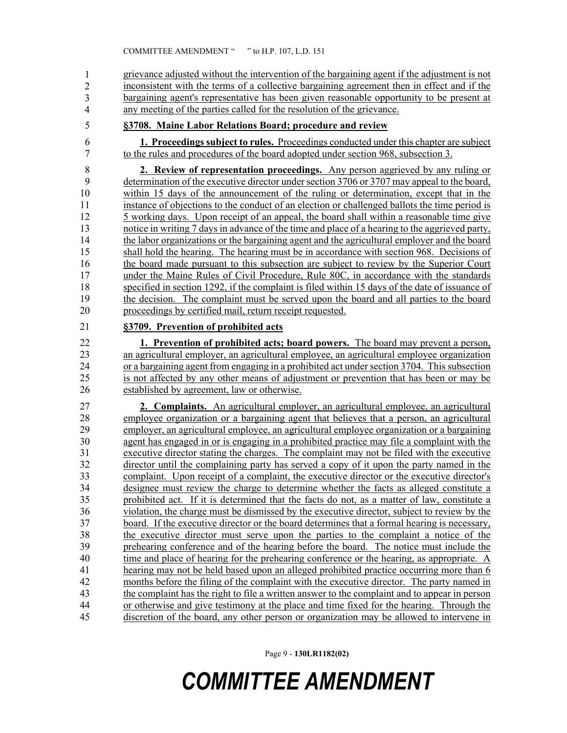45 grievance adjusted without the intervention of the bargaining agent if the adjustment is not inconsistent with the terms of a collective bargaining agreement then in effect and if the 47 bargaining agent's representative has been given reasonable opportunity to be present at any meeting of the parties called for the resolution of the grievance. 1 2 3 4

- 
- 5 **§3708. Maine Labor Relations Board; procedure and review**

6 **1. Proceedings subject to rules.** Proceedings conducted under this chapter are subject 7 to the rules and procedures of the board adopted under section 968, subsection 3.

8 **2. Review of representation proceedings.** Any person aggrieved by any ruling or 9 determination of the executive director under section 3706 or 3707 may appeal to the board, 10 within 15 days of the announcement of the ruling or determination, except that in the 11 instance of objections to the conduct of an election or challenged ballots the time period is 12 5 working days. Upon receipt of an appeal, the board shall within a reasonable time give 13 notice in writing 7 days in advance of the time and place of a hearing to the aggrieved party, 14 the labor organizations or the bargaining agent and the agricultural employer and the board 15 shall hold the hearing. The hearing must be in accordance with section 968. Decisions of 16 the board made pursuant to this subsection are subject to review by the Superior Court 17 under the Maine Rules of Civil Procedure, Rule 80C, in accordance with the standards 18 specified in section 1292, if the complaint is filed within 15 days of the date of issuance of 19 the decision. The complaint must be served upon the board and all parties to the board 20 proceedings by certified mail, return receipt requested.

#### 21 **§3709. Prevention of prohibited acts**

22 **1. Prevention of prohibited acts; board powers.** The board may prevent a person, 23 an agricultural employer, an agricultural employee, an agricultural employee organization 24 or a bargaining agent from engaging in a prohibited act under section 3704. This subsection 25 is not affected by any other means of adjustment or prevention that has been or may be 26 established by agreement, law or otherwise.

27 **2. Complaints.** An agricultural employer, an agricultural employee, an agricultural 28 employee organization or a bargaining agent that believes that a person, an agricultural 29 employer, an agricultural employee, an agricultural employee organization or a bargaining 30 agent has engaged in or is engaging in a prohibited practice may file a complaint with the 31 executive director stating the charges. The complaint may not be filed with the executive 32 director until the complaining party has served a copy of it upon the party named in the 33 complaint. Upon receipt of a complaint, the executive director or the executive director's 34 designee must review the charge to determine whether the facts as alleged constitute a 35 prohibited act. If it is determined that the facts do not, as a matter of law, constitute a 36 violation, the charge must be dismissed by the executive director, subject to review by the 37 board. If the executive director or the board determines that a formal hearing is necessary, 38 the executive director must serve upon the parties to the complaint a notice of the 39 prehearing conference and of the hearing before the board. The notice must include the 40 time and place of hearing for the prehearing conference or the hearing, as appropriate. A 41 hearing may not be held based upon an alleged prohibited practice occurring more than 6 42 months before the filing of the complaint with the executive director. The party named in 43 the complaint has the right to file a written answer to the complaint and to appear in person 44 or otherwise and give testimony at the place and time fixed for the hearing. Through the 45 discretion of the board, any other person or organization may be allowed to intervene in

Page 9 - **130LR1182(02)**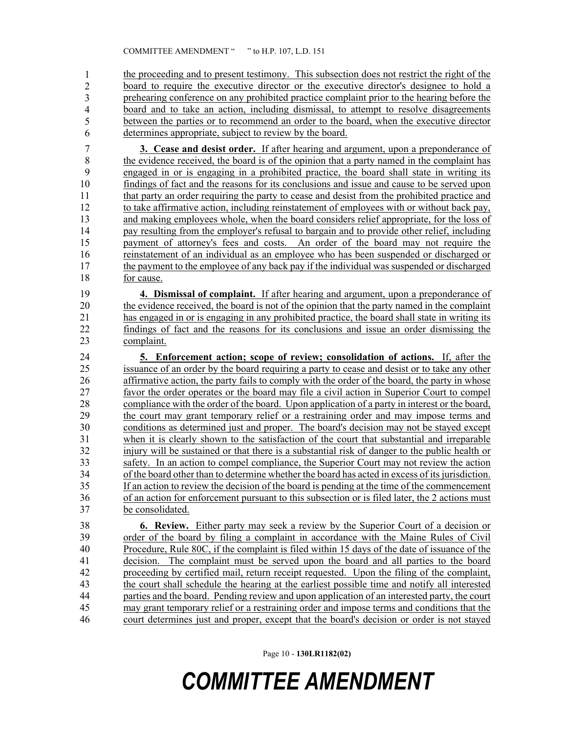the proceeding and to present testimony. This subsection does not restrict the right of the 47 board to require the executive director or the executive director's designee to hold a 48 prehearing conference on any prohibited practice complaint prior to the hearing before the 49 board and to take an action, including dismissal, to attempt to resolve disagreements 50 between the parties or to recommend an order to the board, when the executive director determines appropriate, subject to review by the board. 1 2 3 4 5 6

7 **3. Cease and desist order.** If after hearing and argument, upon a preponderance of 8 the evidence received, the board is of the opinion that a party named in the complaint has 9 engaged in or is engaging in a prohibited practice, the board shall state in writing its 10 findings of fact and the reasons for its conclusions and issue and cause to be served upon 11 that party an order requiring the party to cease and desist from the prohibited practice and 12 to take affirmative action, including reinstatement of employees with or without back pay, 13 and making employees whole, when the board considers relief appropriate, for the loss of 14 pay resulting from the employer's refusal to bargain and to provide other relief, including 15 payment of attorney's fees and costs. An order of the board may not require the 16 reinstatement of an individual as an employee who has been suspended or discharged or 17 the payment to the employee of any back pay if the individual was suspended or discharged 18 for cause.

19 **4. Dismissal of complaint.** If after hearing and argument, upon a preponderance of the evidence received, the board is not of the opinion that the party named in the complaint 20 the evidence received, the board is not of the opinion that the party named in the complaint 21 has engaged in or is engaging in any prohibited practice, the board shall state in writing its 22 findings of fact and the reasons for its conclusions and issue an order dismissing the 23 complaint.

24 **5. Enforcement action; scope of review; consolidation of actions.** If, after the 25 issuance of an order by the board requiring a party to cease and desist or to take any other 26 affirmative action, the party fails to comply with the order of the board, the party in whose 27 favor the order operates or the board may file a civil action in Superior Court to compel 28 compliance with the order of the board. Upon application of a party in interest or the board, 29 the court may grant temporary relief or a restraining order and may impose terms and 30 conditions as determined just and proper. The board's decision may not be stayed except 31 when it is clearly shown to the satisfaction of the court that substantial and irreparable 32 injury will be sustained or that there is a substantial risk of danger to the public health or 33 safety. In an action to compel compliance, the Superior Court may not review the action 34 of the board other than to determine whether the board has acted in excess of its jurisdiction. 35 If an action to review the decision of the board is pending at the time of the commencement 36 of an action for enforcement pursuant to this subsection or is filed later, the 2 actions must 37 be consolidated.

38 **6. Review.** Either party may seek a review by the Superior Court of a decision or 39 order of the board by filing a complaint in accordance with the Maine Rules of Civil 40 Procedure, Rule 80C, if the complaint is filed within 15 days of the date of issuance of the 41 decision. The complaint must be served upon the board and all parties to the board 42 proceeding by certified mail, return receipt requested. Upon the filing of the complaint, 43 the court shall schedule the hearing at the earliest possible time and notify all interested 44 parties and the board. Pending review and upon application of an interested party, the court 45 may grant temporary relief or a restraining order and impose terms and conditions that the 46 court determines just and proper, except that the board's decision or order is not stayed

Page 10 - **130LR1182(02)**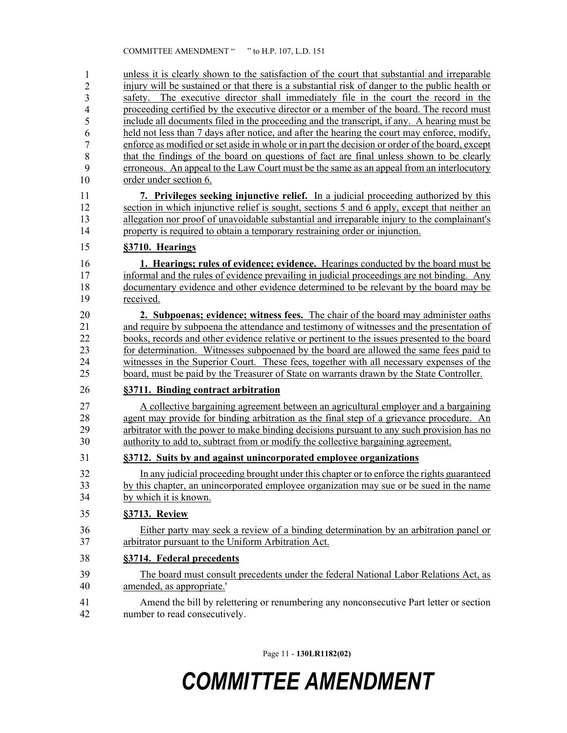47 unless it is clearly shown to the satisfaction of the court that substantial and irreparable injury will be sustained or that there is a substantial risk of danger to the public health or safety. The executive director shall immediately file in the court the record in the 50 proceeding certified by the executive director or a member of the board. The record must include all documents filed in the proceeding and the transcript, if any. A hearing must be held not less than 7 days after notice, and after the hearing the court may enforce, modify, 53 enforce as modified or set aside in whole or in part the decision or order of the board, except 54 that the findings of the board on questions of fact are final unless shown to be clearly erroneous. An appeal to the Law Court must be the same as an appeal from an interlocutory order under section 6. 1 2 3 4 5 6 7 8 9 10

11 **7. Privileges seeking injunctive relief.** In a judicial proceeding authorized by this 12 section in which injunctive relief is sought, sections 5 and 6 apply, except that neither an 13 allegation nor proof of unavoidable substantial and irreparable injury to the complainant's 14 property is required to obtain a temporary restraining order or injunction.

#### 15 **§3710. Hearings**

16 **1. Hearings; rules of evidence; evidence.** Hearings conducted by the board must be 17 informal and the rules of evidence prevailing in judicial proceedings are not binding. Any 18 documentary evidence and other evidence determined to be relevant by the board may be 19 received.

20 **2. Subpoenas; evidence; witness fees.** The chair of the board may administer oaths 21 and require by subpoena the attendance and testimony of witnesses and the presentation of 22 books, records and other evidence relative or pertinent to the issues presented to the board 23 for determination. Witnesses subpoenaed by the board are allowed the same fees paid to 24 witnesses in the Superior Court. These fees, together with all necessary expenses of the 25 board, must be paid by the Treasurer of State on warrants drawn by the State Controller.

#### 26 **§3711. Binding contract arbitration**

27 A collective bargaining agreement between an agricultural employer and a bargaining 28 agent may provide for binding arbitration as the final step of a grievance procedure. An 29 arbitrator with the power to make binding decisions pursuant to any such provision has no 30 authority to add to, subtract from or modify the collective bargaining agreement.

#### 31 **§3712. Suits by and against unincorporated employee organizations**

32 In any judicial proceeding brought under this chapter or to enforce the rights guaranteed 33 by this chapter, an unincorporated employee organization may sue or be sued in the name 34 by which it is known.

#### 35 **§3713. Review**

36 Either party may seek a review of a binding determination by an arbitration panel or 37 arbitrator pursuant to the Uniform Arbitration Act.

#### 38 **§3714. Federal precedents**

39 The board must consult precedents under the federal National Labor Relations Act, as 40 amended, as appropriate.'

41 Amend the bill by relettering or renumbering any nonconsecutive Part letter or section 42 number to read consecutively.

Page 11 - **130LR1182(02)**